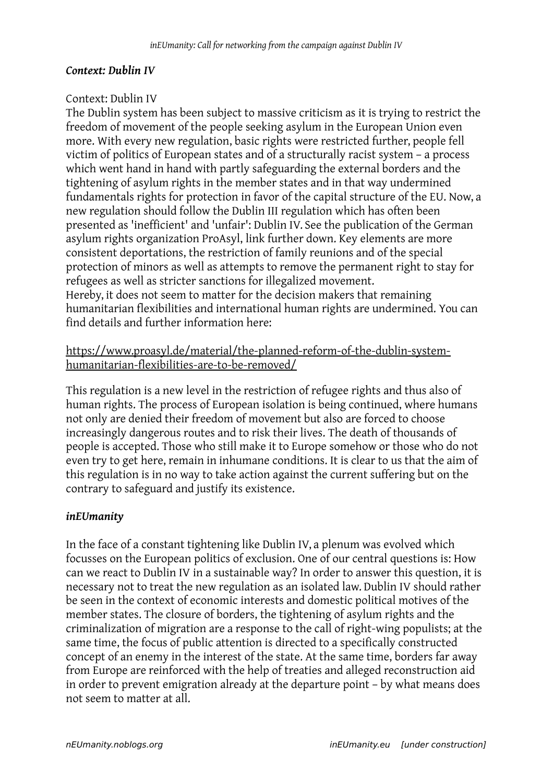#### *Context: Dublin IV*

#### Context: Dublin IV

The Dublin system has been subject to massive criticism as it is trying to restrict the freedom of movement of the people seeking asylum in the European Union even more. With every new regulation, basic rights were restricted further, people fell victim of politics of European states and of a structurally racist system – a process which went hand in hand with partly safeguarding the external borders and the tightening of asylum rights in the member states and in that way undermined fundamentals rights for protection in favor of the capital structure of the EU. Now, a new regulation should follow the Dublin III regulation which has often been presented as 'inefficient' and 'unfair': Dublin IV. See the publication of the German asylum rights organization ProAsyl, link further down. Key elements are more consistent deportations, the restriction of family reunions and of the special protection of minors as well as attempts to remove the permanent right to stay for refugees as well as stricter sanctions for illegalized movement. Hereby, it does not seem to matter for the decision makers that remaining humanitarian flexibilities and international human rights are undermined. You can find details and further information here:

## [https://www.proasyl.de/material/the-planned-reform-of-the-dublin-system](https://www.proasyl.de/material/the-planned-reform-of-the-dublin-system-humanitarian-flexibilities-are-to-be-removed/)[humanitarian-flexibilities-are-to-be-removed/](https://www.proasyl.de/material/the-planned-reform-of-the-dublin-system-humanitarian-flexibilities-are-to-be-removed/)

This regulation is a new level in the restriction of refugee rights and thus also of human rights. The process of European isolation is being continued, where humans not only are denied their freedom of movement but also are forced to choose increasingly dangerous routes and to risk their lives. The death of thousands of people is accepted. Those who still make it to Europe somehow or those who do not even try to get here, remain in inhumane conditions. It is clear to us that the aim of this regulation is in no way to take action against the current suffering but on the contrary to safeguard and justify its existence.

## *inEUmanity*

In the face of a constant tightening like Dublin IV, a plenum was evolved which focusses on the European politics of exclusion. One of our central questions is: How can we react to Dublin IV in a sustainable way? In order to answer this question, it is necessary not to treat the new regulation as an isolated law. Dublin IV should rather be seen in the context of economic interests and domestic political motives of the member states. The closure of borders, the tightening of asylum rights and the criminalization of migration are a response to the call of right-wing populists; at the same time, the focus of public attention is directed to a specifically constructed concept of an enemy in the interest of the state. At the same time, borders far away from Europe are reinforced with the help of treaties and alleged reconstruction aid in order to prevent emigration already at the departure point – by what means does not seem to matter at all.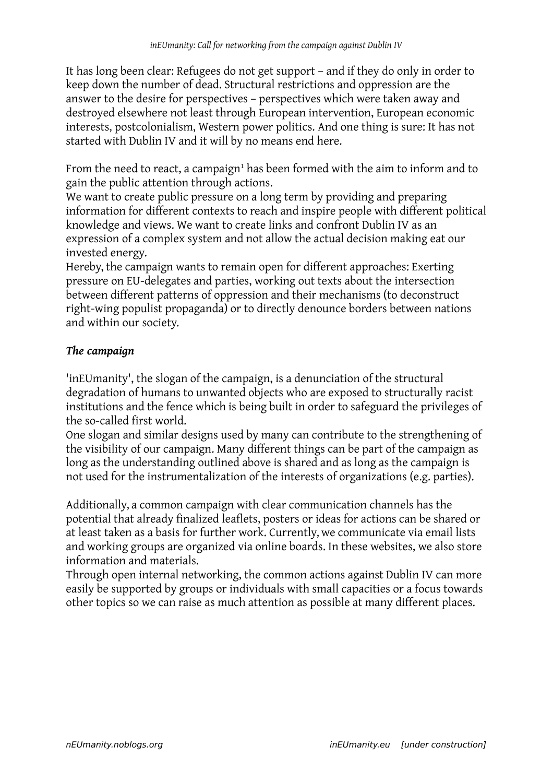It has long been clear: Refugees do not get support – and if they do only in order to keep down the number of dead. Structural restrictions and oppression are the answer to the desire for perspectives – perspectives which were taken away and destroyed elsewhere not least through European intervention, European economic interests, postcolonialism, Western power politics. And one thing is sure: It has not started with Dublin IV and it will by no means end here.

From the need to react, a campaign $^1$  has been formed with the aim to inform and to gain the public attention through actions.

We want to create public pressure on a long term by providing and preparing information for different contexts to reach and inspire people with different political knowledge and views. We want to create links and confront Dublin IV as an expression of a complex system and not allow the actual decision making eat our invested energy.

Hereby, the campaign wants to remain open for different approaches: Exerting pressure on EU-delegates and parties, working out texts about the intersection between different patterns of oppression and their mechanisms (to deconstruct right-wing populist propaganda) or to directly denounce borders between nations and within our society.

# *The campaign*

'inEUmanity', the slogan of the campaign, is a denunciation of the structural degradation of humans to unwanted objects who are exposed to structurally racist institutions and the fence which is being built in order to safeguard the privileges of the so-called first world.

One slogan and similar designs used by many can contribute to the strengthening of the visibility of our campaign. Many different things can be part of the campaign as long as the understanding outlined above is shared and as long as the campaign is not used for the instrumentalization of the interests of organizations (e.g. parties).

Additionally, a common campaign with clear communication channels has the potential that already finalized leaflets, posters or ideas for actions can be shared or at least taken as a basis for further work. Currently, we communicate via email lists and working groups are organized via online boards. In these websites, we also store information and materials.

Through open internal networking, the common actions against Dublin IV can more easily be supported by groups or individuals with small capacities or a focus towards other topics so we can raise as much attention as possible at many different places.